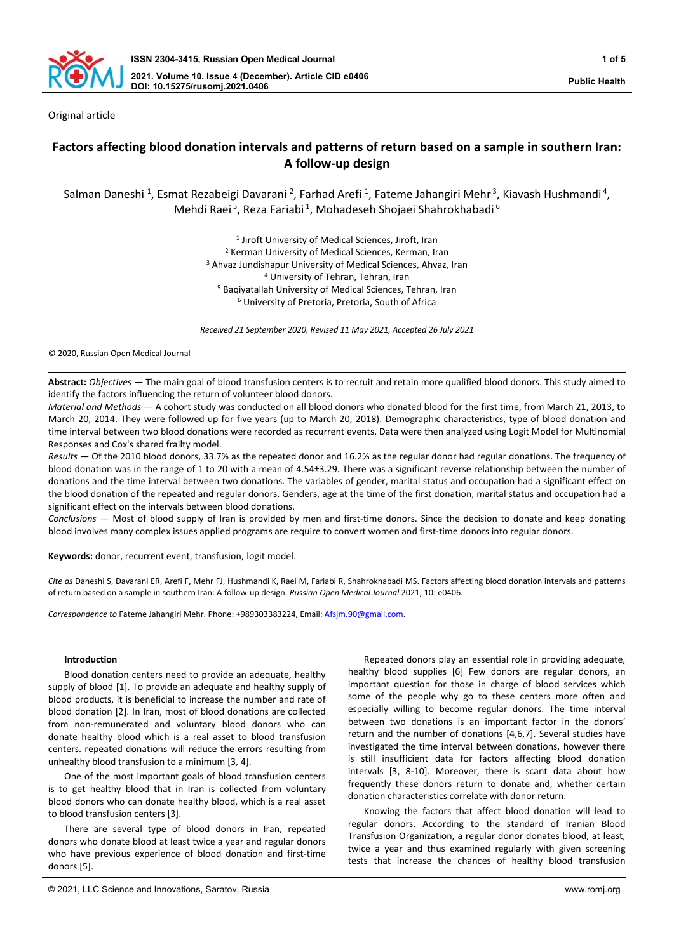

Original article

# **Factors affecting blood donation intervals and patterns of return based on a sample in southern Iran: A follow-up design**

Salman Daneshi<sup>1</sup>, Esmat Rezabeigi Davarani<sup>2</sup>, Farhad Arefi<sup>1</sup>, Fateme Jahangiri Mehr<sup>3</sup>, Kiavash Hushmandi<sup>4</sup>, Mehdi Raei<sup>5</sup>, Reza Fariabi<sup>1</sup>, Mohadeseh Shojaei Shahrokhabadi<sup>6</sup>

> <sup>1</sup> Jiroft University of Medical Sciences, Jiroft, Iran Kerman University of Medical Sciences, Kerman, Iran Ahvaz Jundishapur University of Medical Sciences, Ahvaz, Iran University of Tehran, Tehran, Iran Baqiyatallah University of Medical Sciences, Tehran, Iran University of Pretoria, Pretoria, South of Africa

*Received 21 September 2020, Revised 11 May 2021, Accepted 26 July 2021*

© 2020, Russian Open Medical Journal

**Abstract:** *Objectives —* The main goal of blood transfusion centers is to recruit and retain more qualified blood donors. This study aimed to identify the factors influencing the return of volunteer blood donors.

*Material and Methods —* A cohort study was conducted on all blood donors who donated blood for the first time, from March 21, 2013, to March 20, 2014. They were followed up for five years (up to March 20, 2018). Demographic characteristics, type of blood donation and time interval between two blood donations were recorded as recurrent events. Data were then analyzed using Logit Model for Multinomial Responses and Cox's shared frailty model.

*Results —* Of the 2010 blood donors, 33.7% as the repeated donor and 16.2% as the regular donor had regular donations. The frequency of blood donation was in the range of 1 to 20 with a mean of 4.54±3.29. There was a significant reverse relationship between the number of donations and the time interval between two donations. The variables of gender, marital status and occupation had a significant effect on the blood donation of the repeated and regular donors. Genders, age at the time of the first donation, marital status and occupation had a significant effect on the intervals between blood donations.

*Conclusions —* Most of blood supply of Iran is provided by men and first-time donors. Since the decision to donate and keep donating blood involves many complex issues applied programs are require to convert women and first-time donors into regular donors.

**Keywords:** donor, recurrent event, transfusion, logit model.

*Cite as* Daneshi S, Davarani ER, Arefi F, Mehr FJ, Hushmandi K, Raei M, Fariabi R, Shahrokhabadi MS. Factors affecting blood donation intervals and patterns of return based on a sample in southern Iran: A follow-up design. *Russian Open Medical Journal* 2021; 10: e0406.

*Correspondence to* Fateme Jahangiri Mehr. Phone: +989303383224, Email[: Afsjm.90@gmail.com.](mailto:Afsjm.90@gmail.com)

# **Introduction**

Blood donation centers need to provide an adequate, healthy supply of blood [1]. To provide an adequate and healthy supply of blood products, it is beneficial to increase the number and rate of blood donation [2]. In Iran, most of blood donations are collected from non-remunerated and voluntary blood donors who can donate healthy blood which is a real asset to blood transfusion centers. repeated donations will reduce the errors resulting from unhealthy blood transfusion to a minimum [3, 4].

One of the most important goals of blood transfusion centers is to get healthy blood that in Iran is collected from voluntary blood donors who can donate healthy blood, which is a real asset to blood transfusion centers [3].

There are several type of blood donors in Iran, repeated donors who donate blood at least twice a year and regular donors who have previous experience of blood donation and first-time donors [5].

Repeated donors play an essential role in providing adequate, healthy blood supplies [6] Few donors are regular donors, an important question for those in charge of blood services which some of the people why go to these centers more often and especially willing to become regular donors. The time interval between two donations is an important factor in the donors' return and the number of donations [4,6,7]. Several studies have investigated the time interval between donations, however there is still insufficient data for factors affecting blood donation intervals [3, 8-10]. Moreover, there is scant data about how frequently these donors return to donate and, whether certain donation characteristics correlate with donor return.

Knowing the factors that affect blood donation will lead to regular donors. According to the standard of Iranian Blood Transfusion Organization, a regular donor donates blood, at least, twice a year and thus examined regularly with given screening tests that increase the chances of healthy blood transfusion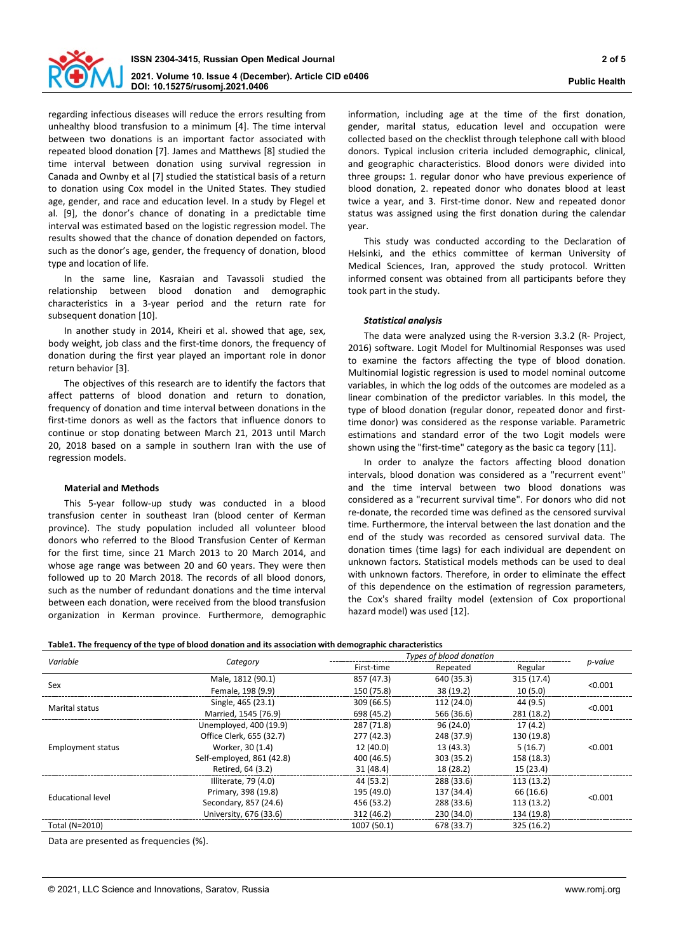

regarding infectious diseases will reduce the errors resulting from unhealthy blood transfusion to a minimum [4]. The time interval between two donations is an important factor associated with repeated blood donation [7]. James and Matthews [8] studied the time interval between donation using survival regression in Canada and Ownby et al [7] studied the statistical basis of a return to donation using Cox model in the United States. They studied age, gender, and race and education level. In a study by Flegel et al. [9], the donor's chance of donating in a predictable time interval was estimated based on the logistic regression model. The results showed that the chance of donation depended on factors, such as the donor's age, gender, the frequency of donation, blood type and location of life.

In the same line, Kasraian and Tavassoli studied the relationship between blood donation and demographic characteristics in a 3-year period and the return rate for subsequent donation [10].

In another study in 2014, Kheiri et al. showed that age, sex, body weight, job class and the first-time donors, the frequency of donation during the first year played an important role in donor return behavior [3].

The objectives of this research are to identify the factors that affect patterns of blood donation and return to donation, frequency of donation and time interval between donations in the first-time donors as well as the factors that influence donors to continue or stop donating between March 21, 2013 until March 20, 2018 based on a sample in southern Iran with the use of regression models.

# **Material and Methods**

This 5-year follow-up study was conducted in a blood transfusion center in southeast Iran (blood center of Kerman province). The study population included all volunteer blood donors who referred to the Blood Transfusion Center of Kerman for the first time, since 21 March 2013 to 20 March 2014, and whose age range was between 20 and 60 years. They were then followed up to 20 March 2018. The records of all blood donors, such as the number of redundant donations and the time interval between each donation, were received from the blood transfusion organization in Kerman province. Furthermore, demographic

information, including age at the time of the first donation, gender, marital status, education level and occupation were collected based on the checklist through telephone call with blood donors. Typical inclusion criteria included demographic, clinical, and geographic characteristics. Blood donors were divided into three groups**:** 1. regular donor who have previous experience of blood donation, 2. repeated donor who donates blood at least twice a year, and 3. First-time donor. New and repeated donor status was assigned using the first donation during the calendar year.

This study was conducted according to the Declaration of Helsinki, and the ethics committee of kerman University of Medical Sciences, Iran, approved the study protocol. Written informed consent was obtained from all participants before they took part in the study.

## *Statistical analysis*

The data were analyzed using the R-version 3.3.2 (R- Project, 2016) software. Logit Model for Multinomial Responses was used to examine the factors affecting the type of blood donation. Multinomial logistic regression is used to model nominal outcome variables, in which the log odds of the outcomes are modeled as a linear combination of the predictor variables. In this model, the type of blood donation (regular donor, repeated donor and firsttime donor) was considered as the response variable. Parametric estimations and standard error of the two Logit models were shown using the "first-time" category as the basic ca tegory [11].

In order to analyze the factors affecting blood donation intervals, blood donation was considered as a "recurrent event" and the time interval between two blood donations was considered as a "recurrent survival time". For donors who did not re-donate, the recorded time was defined as the censored survival time. Furthermore, the interval between the last donation and the end of the study was recorded as censored survival data. The donation times (time lags) for each individual are dependent on unknown factors. Statistical models methods can be used to deal with unknown factors. Therefore, in order to eliminate the effect of this dependence on the estimation of regression parameters, the Cox's shared frailty model (extension of Cox proportional hazard model) was used [12].

| Table1. The frequency of the type of blood donation and its association with demographic characteristics |  |
|----------------------------------------------------------------------------------------------------------|--|
|----------------------------------------------------------------------------------------------------------|--|

| Variable                 | Category                  | Types of blood donation |            |            |         |
|--------------------------|---------------------------|-------------------------|------------|------------|---------|
|                          |                           | First-time              | Repeated   | Regular    | p-value |
| Sex                      | Male, 1812 (90.1)         | 857 (47.3)              | 640 (35.3) | 315 (17.4) | < 0.001 |
|                          | Female, 198 (9.9)         | 150 (75.8)              | 38(19.2)   | 10(5.0)    |         |
| Marital status           | Single, 465 (23.1)        | 309 (66.5)              | 112 (24.0) | 44 (9.5)   | < 0.001 |
|                          | Married, 1545 (76.9)      | 698 (45.2)              | 566 (36.6) | 281 (18.2) |         |
| <b>Employment status</b> | Unemployed, 400 (19.9)    | 287 (71.8)              | 96 (24.0)  | 17(4.2)    |         |
|                          | Office Clerk, 655 (32.7)  | 277 (42.3)              | 248 (37.9) | 130 (19.8) |         |
|                          | Worker, 30 (1.4)          | 12 (40.0)               | 13(43.3)   | 5(16.7)    | < 0.001 |
|                          | Self-employed, 861 (42.8) | 400 (46.5)              | 303 (35.2) | 158 (18.3) |         |
|                          | Retired, 64 (3.2)         | 31 (48.4)               | 18 (28.2)  | 15 (23.4)  |         |
| <b>Educational level</b> | Illiterate, 79 (4.0)      | 44 (53.2)               | 288 (33.6) | 113 (13.2) |         |
|                          | Primary, 398 (19.8)       | 195 (49.0)              | 137 (34.4) | 66 (16.6)  | < 0.001 |
|                          | Secondary, 857 (24.6)     | 456 (53.2)              | 288 (33.6) | 113 (13.2) |         |
|                          | University, 676 (33.6)    | 312 (46.2)              | 230 (34.0) | 134 (19.8) |         |
| Total (N=2010)           |                           | 1007 (50.1)             | 678 (33.7) | 325 (16.2) |         |

Data are presented as frequencies (%).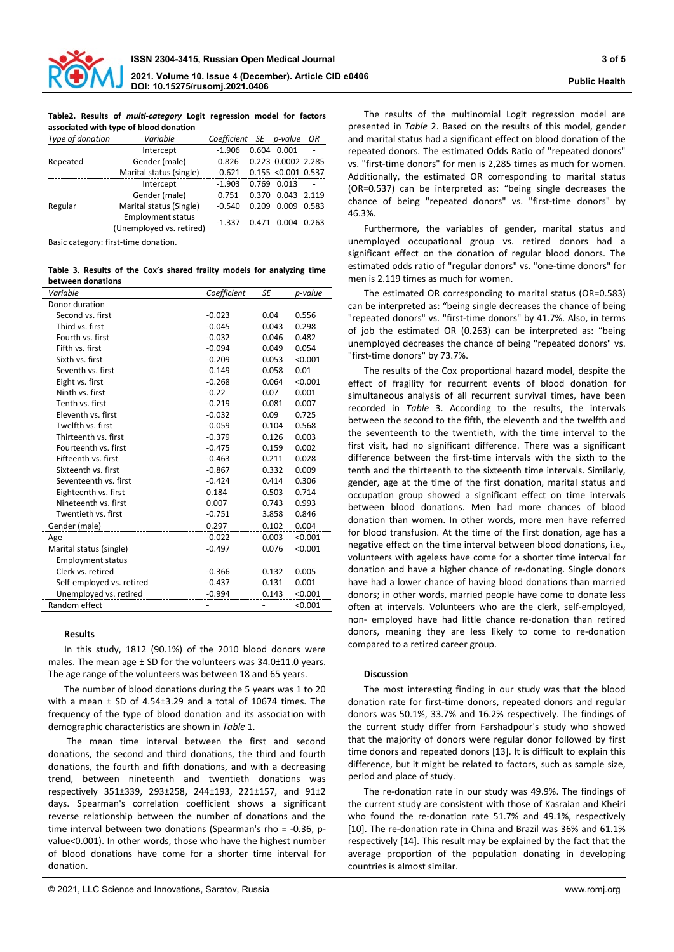

**Table2. Results of** *multi-category* **Logit regression model for factors associated with type of blood donation**

| Type of donation | Variable                                             | Coefficient |       | SE p-value              | OR    |
|------------------|------------------------------------------------------|-------------|-------|-------------------------|-------|
|                  | Intercept                                            | $-1.906$    | 0.604 | 0.001                   |       |
| Repeated         | Gender (male)                                        | 0.826       |       | 0.223 0.0002 2.285      |       |
|                  | Marital status (single)                              | $-0.621$    |       | $0.155$ < $0.001$ 0.537 |       |
| Regular          | Intercept                                            | $-1.903$    | 0.769 | 0.013                   |       |
|                  | Gender (male)                                        | 0.751       | 0.370 | 0.043 2.119             |       |
|                  | Marital status (Single)                              | $-0.540$    | 0.209 | 0.009                   | 0.583 |
|                  | <b>Employment status</b><br>(Unemployed vs. retired) | $-1.337$    | 0.471 | 0.004                   | 0.263 |

Basic category: first-time donation.

**Table 3. Results of the Cox's shared frailty models for analyzing time between donations**

| Variable                  | Coefficient | SE    | p-value |
|---------------------------|-------------|-------|---------|
| Donor duration            |             |       |         |
| Second vs. first          | $-0.023$    | 0.04  | 0.556   |
| Third vs. first           | $-0.045$    | 0.043 | 0.298   |
| Fourth vs. first          | $-0.032$    | 0.046 | 0.482   |
| Fifth vs. first           | $-0.094$    | 0.049 | 0.054   |
| Sixth vs. first           | $-0.209$    | 0.053 | < 0.001 |
| Seventh vs. first         | $-0.149$    | 0.058 | 0.01    |
| Eight vs. first           | $-0.268$    | 0.064 | < 0.001 |
| Ninth vs. first           | $-0.22$     | 0.07  | 0.001   |
| Tenth vs. first           | $-0.219$    | 0.081 | 0.007   |
| Eleventh vs. first        | $-0.032$    | 0.09  | 0.725   |
| Twelfth vs. first         | $-0.059$    | 0.104 | 0.568   |
| Thirteenth vs. first      | $-0.379$    | 0.126 | 0.003   |
| Fourteenth vs. first      | $-0.475$    | 0.159 | 0.002   |
| Fifteenth vs. first       | $-0.463$    | 0.211 | 0.028   |
| Sixteenth vs. first       | $-0.867$    | 0.332 | 0.009   |
| Seventeenth vs. first     | $-0.424$    | 0.414 | 0.306   |
| Eighteenth vs. first      | 0.184       | 0.503 | 0.714   |
| Nineteenth vs. first      | 0.007       | 0.743 | 0.993   |
| Twentieth vs. first       | $-0.751$    | 3.858 | 0.846   |
| Gender (male)             | 0.297       | 0.102 | 0.004   |
| Age                       | $-0.022$    | 0.003 | < 0.001 |
| Marital status (single)   | $-0.497$    | 0.076 | < 0.001 |
| <b>Employment status</b>  |             |       |         |
| Clerk vs. retired         | $-0.366$    | 0.132 | 0.005   |
| Self-employed vs. retired | $-0.437$    | 0.131 | 0.001   |
| Unemployed vs. retired    | $-0.994$    | 0.143 | < 0.001 |
| Random effect             |             |       | < 0.001 |

#### **Results**

In this study, 1812 (90.1%) of the 2010 blood donors were males. The mean age ± SD for the volunteers was 34.0±11.0 years. The age range of the volunteers was between 18 and 65 years.

The number of blood donations during the 5 years was 1 to 20 with a mean ± SD of 4.54±3.29 and a total of 10674 times. The frequency of the type of blood donation and its association with demographic characteristics are shown in *Table* 1.

The mean time interval between the first and second donations, the second and third donations, the third and fourth donations, the fourth and fifth donations, and with a decreasing trend, between nineteenth and twentieth donations was respectively 351±339, 293±258, 244±193, 221±157, and 91±2 days. Spearman's correlation coefficient shows a significant reverse relationship between the number of donations and the time interval between two donations (Spearman's rho = -0.36, pvalue<0.001). In other words, those who have the highest number of blood donations have come for a shorter time interval for donation.

repeated donors. The estimated Odds Ratio of "repeated donors" vs. "first-time donors" for men is 2,285 times as much for women. Additionally, the estimated OR corresponding to marital status (OR=0.537) can be interpreted as: "being single decreases the chance of being "repeated donors" vs. "first-time donors" by 46.3%.

Furthermore, the variables of gender, marital status and unemployed occupational group vs. retired donors had a significant effect on the donation of regular blood donors. The estimated odds ratio of "regular donors" vs. "one-time donors" for men is 2.119 times as much for women.

The estimated OR corresponding to marital status (OR=0.583) can be interpreted as: "being single decreases the chance of being "repeated donors" vs. "first-time donors" by 41.7%. Also, in terms of job the estimated OR (0.263) can be interpreted as: "being unemployed decreases the chance of being "repeated donors" vs. "first-time donors" by 73.7%.

The results of the Cox proportional hazard model, despite the effect of fragility for recurrent events of blood donation for simultaneous analysis of all recurrent survival times, have been recorded in *Table* 3. According to the results, the intervals between the second to the fifth, the eleventh and the twelfth and the seventeenth to the twentieth, with the time interval to the first visit, had no significant difference. There was a significant difference between the first-time intervals with the sixth to the tenth and the thirteenth to the sixteenth time intervals. Similarly, gender, age at the time of the first donation, marital status and occupation group showed a significant effect on time intervals between blood donations. Men had more chances of blood donation than women. In other words, more men have referred for blood transfusion. At the time of the first donation, age has a negative effect on the time interval between blood donations, i.e., volunteers with ageless have come for a shorter time interval for donation and have a higher chance of re-donating. Single donors have had a lower chance of having blood donations than married donors; in other words, married people have come to donate less often at intervals. Volunteers who are the clerk, self-employed, non- employed have had little chance re-donation than retired donors, meaning they are less likely to come to re-donation compared to a retired career group.

## **Discussion**

The most interesting finding in our study was that the blood donation rate for first-time donors, repeated donors and regular donors was 50.1%, 33.7% and 16.2% respectively. The findings of the current study differ from Farshadpour's study who showed that the majority of donors were regular donor followed by first time donors and repeated donors [13]. It is difficult to explain this difference, but it might be related to factors, such as sample size, period and place of study.

The re-donation rate in our study was 49.9%. The findings of the current study are consistent with those of Kasraian and Kheiri who found the re-donation rate 51.7% and 49.1%, respectively [10]. The re-donation rate in China and Brazil was 36% and 61.1% respectively [14]. This result may be explained by the fact that the average proportion of the population donating in developing countries is almost similar.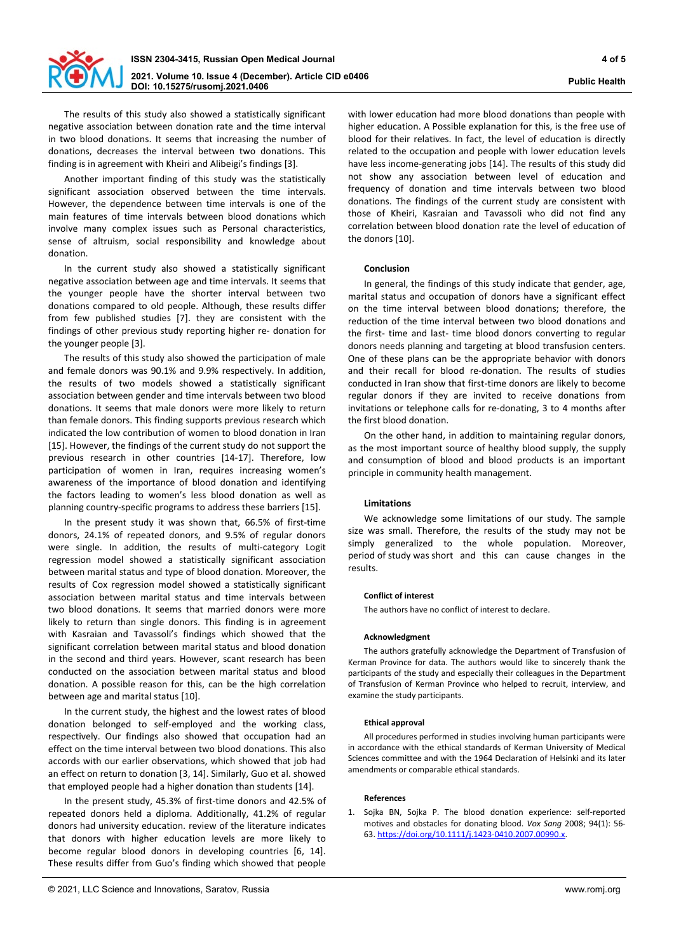

The results of this study also showed a statistically significant negative association between donation rate and the time interval in two blood donations. It seems that increasing the number of donations, decreases the interval between two donations. This finding is in agreement with Kheiri and Alibeigi's findings [3].

Another important finding of this study was the statistically significant association observed between the time intervals. However, the dependence between time intervals is one of the main features of time intervals between blood donations which involve many complex issues such as Personal characteristics, sense of altruism, social responsibility and knowledge about donation.

In the current study also showed a statistically significant negative association between age and time intervals. It seems that the younger people have the shorter interval between two donations compared to old people. Although, these results differ from few published studies [7]. they are consistent with the findings of other previous study reporting higher re- donation for the younger people [3].

The results of this study also showed the participation of male and female donors was 90.1% and 9.9% respectively. In addition, the results of two models showed a statistically significant association between gender and time intervals between two blood donations. It seems that male donors were more likely to return than female donors. This finding supports previous research which indicated the low contribution of women to blood donation in Iran [15]. However, the findings of the current study do not support the previous research in other countries [14-17]. Therefore, low participation of women in Iran, requires increasing women's awareness of the importance of blood donation and identifying the factors leading to women's less blood donation as well as planning country-specific programs to address these barriers [15].

In the present study it was shown that, 66.5% of first-time donors, 24.1% of repeated donors, and 9.5% of regular donors were single. In addition, the results of multi-category Logit regression model showed a statistically significant association between marital status and type of blood donation. Moreover, the results of Cox regression model showed a statistically significant association between marital status and time intervals between two blood donations. It seems that married donors were more likely to return than single donors. This finding is in agreement with Kasraian and Tavassoli's findings which showed that the significant correlation between marital status and blood donation in the second and third years. However, scant research has been conducted on the association between marital status and blood donation. A possible reason for this, can be the high correlation between age and marital status [10].

In the current study, the highest and the lowest rates of blood donation belonged to self-employed and the working class, respectively. Our findings also showed that occupation had an effect on the time interval between two blood donations. This also accords with our earlier observations, which showed that job had an effect on return to donation [3, 14]. Similarly, Guo et al. showed that employed people had a higher donation than students [14].

In the present study, 45.3% of first-time donors and 42.5% of repeated donors held a diploma. Additionally, 41.2% of regular donors had university education. review of the literature indicates that donors with higher education levels are more likely to become regular blood donors in developing countries [6, 14]. These results differ from Guo's finding which showed that people

with lower education had more blood donations than people with higher education. A Possible explanation for this, is the free use of blood for their relatives. In fact, the level of education is directly related to the occupation and people with lower education levels have less income-generating jobs [14]. The results of this study did not show any association between level of education and frequency of donation and time intervals between two blood donations. The findings of the current study are consistent with those of Kheiri, Kasraian and Tavassoli who did not find any correlation between blood donation rate the level of education of the donors [10].

#### **Conclusion**

In general, the findings of this study indicate that gender, age, marital status and occupation of donors have a significant effect on the time interval between blood donations; therefore, the reduction of the time interval between two blood donations and the first- time and last- time blood donors converting to regular donors needs planning and targeting at blood transfusion centers. One of these plans can be the appropriate behavior with donors and their recall for blood re-donation. The results of studies conducted in Iran show that first-time donors are likely to become regular donors if they are invited to receive donations from invitations or telephone calls for re-donating, 3 to 4 months after the first blood donation.

On the other hand, in addition to maintaining regular donors, as the most important source of healthy blood supply, the supply and consumption of blood and blood products is an important principle in community health management.

### **Limitations**

We acknowledge some limitations of our study. The sample size was small. Therefore, the results of the study may not be simply generalized to the whole population. Moreover, period of study was short and this can cause changes in the results.

#### **Conflict of interest**

The authors have no conflict of interest to declare.

#### **Acknowledgment**

The authors gratefully acknowledge the Department of Transfusion of Kerman Province for data. The authors would like to sincerely thank the participants of the study and especially their colleagues in the Department of Transfusion of Kerman Province who helped to recruit, interview, and examine the study participants.

#### **Ethical approval**

All procedures performed in studies involving human participants were in accordance with the ethical standards of Kerman University of Medical Sciences committee and with the 1964 Declaration of Helsinki and its later amendments or comparable ethical standards.

#### **References**

1. Sojka BN, Sojka P. The blood donation experience: self-reported motives and obstacles for donating blood. *Vox Sang* 2008; 94(1): 56- 63[. https://doi.org/10.1111/j.1423-0410.2007.00990.x.](https://doi.org/10.1111/j.1423-0410.2007.00990.x)